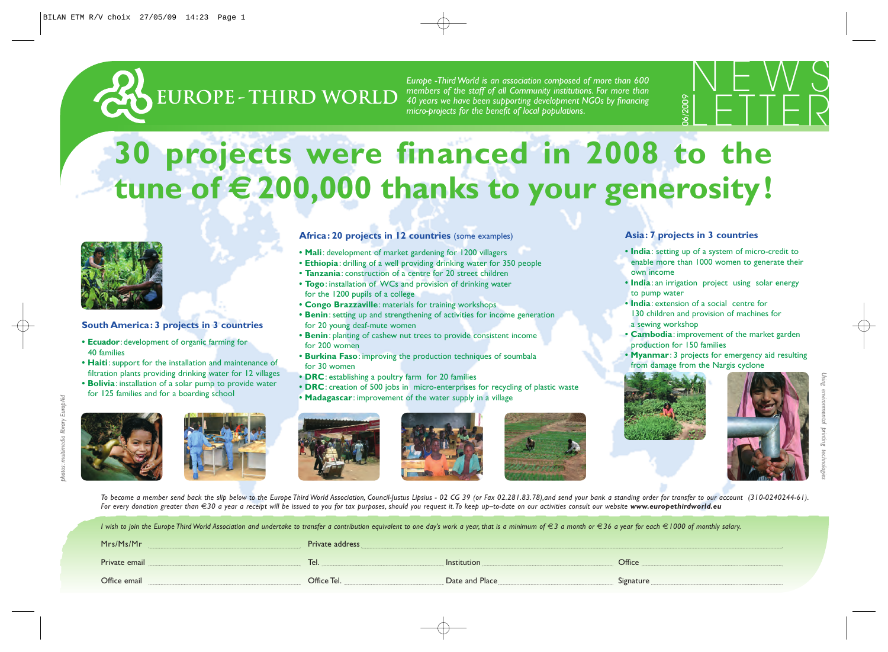

*members of the staff of all Community institutions. For more than 40 years we have been supporting development NGOs by financing micro-projects for the benefit of local populations.*



## **30 projects were financed in 2008 to the tune of € 200,000 thanks to your generosity!**

Africa: 20 projects in 12 countries (some examples) **• Mali**: development of market gardening for 1200 villagers

**• Tanzania**: construction of a centre for 20 street children **• Togo**: installation of WCs and provision of drinking water

**• Congo Brazzaville**: materials for training workshops

for the 1200 pupils of a college

for 20 young deaf-mute women

**• Ethiopia**: drilling of a well providing drinking water for 350 people

**• Benin**: setting up and strengthening of activities for income generation

**• DRC**: creation of 500 jobs in micro-enterprises for recycling of plastic waste

**• Benin**: planting of cashew nut trees to provide consistent income

**• Burkina Faso**: improving the production techniques of soumbala

**• Madagascar**: improvement of the water supply in a village



## **South America: 3 projects in 3 countries**

- **• Ecuador**: development of organic farming for 40 families
- **• Haiti**: support for the installation and maintenance of filtration plants providing drinking water for 12 villages
- **• Bolivia**: installation of a solar pump to provide water for 125 families and for a boarding school







for 200 women

for 30 women



**• DRC**: establishing a poultry farm for 20 families







- **• India**: setting up of a system of micro-credit to enable more than 1000 women to generate their own income
- **• India**: an irrigation project using solar energy to pump water
- **• India**: extension of a social centre for 130 children and provision of machines for a sewing workshop
- **• Cambodia**: improvement of the market garden production for 150 families
- **Myanmar**: 3 projects for emergency aid resulting from damage from the Nargis cyclone





*Using environmental printing technologies*

To become a member send back the slip below to the Europe Third World Association, Council-Justus Lipsius - 02 CG 39 (or Fax 02.281.83.78), and send your bank a standing order for transfer to our account (310-0240244-61). *For every donation greater than* €*30 a year a receipt will be issued to you for tax purposes, should you request it.To keep up–to-date on our activities consult our website www.europethirdworld.eu*

| I wish to join the Europe Third World Association and undertake to transfer a contribution equivalent to one day's work a year, that is a minimum of €3 a month or €36 a year for each €1000 of monthly salary. |                 |                    |           |  |  |
|-----------------------------------------------------------------------------------------------------------------------------------------------------------------------------------------------------------------|-----------------|--------------------|-----------|--|--|
| Mrs/Ms/Mr                                                                                                                                                                                                       | Private address |                    |           |  |  |
| Private email                                                                                                                                                                                                   | Tel.            | <i>Institution</i> | Office    |  |  |
| Office email                                                                                                                                                                                                    | Office Tel.     | Date and Place     | Signature |  |  |